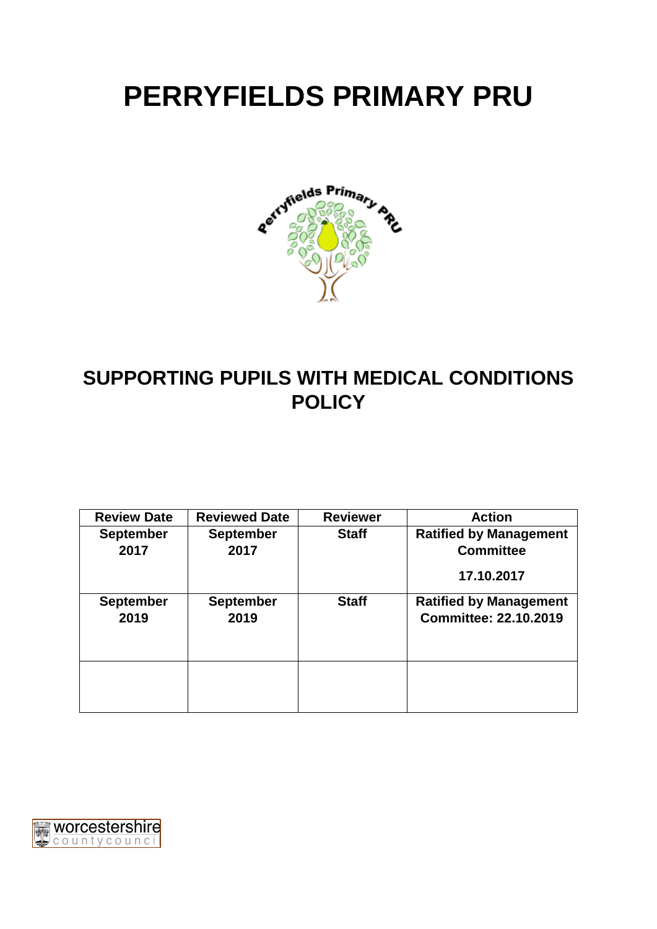# **PERRYFIELDS PRIMARY PRU**



# **SUPPORTING PUPILS WITH MEDICAL CONDITIONS POLICY**

| <b>Review Date</b> | <b>Reviewed Date</b> | <b>Reviewer</b> | <b>Action</b>                 |
|--------------------|----------------------|-----------------|-------------------------------|
| <b>September</b>   | <b>September</b>     | <b>Staff</b>    | <b>Ratified by Management</b> |
| 2017               | 2017                 |                 | <b>Committee</b>              |
|                    |                      |                 | 17.10.2017                    |
| <b>September</b>   | <b>September</b>     | <b>Staff</b>    | <b>Ratified by Management</b> |
| 2019               | 2019                 |                 | <b>Committee: 22.10.2019</b>  |
|                    |                      |                 |                               |
|                    |                      |                 |                               |
|                    |                      |                 |                               |
|                    |                      |                 |                               |
|                    |                      |                 |                               |

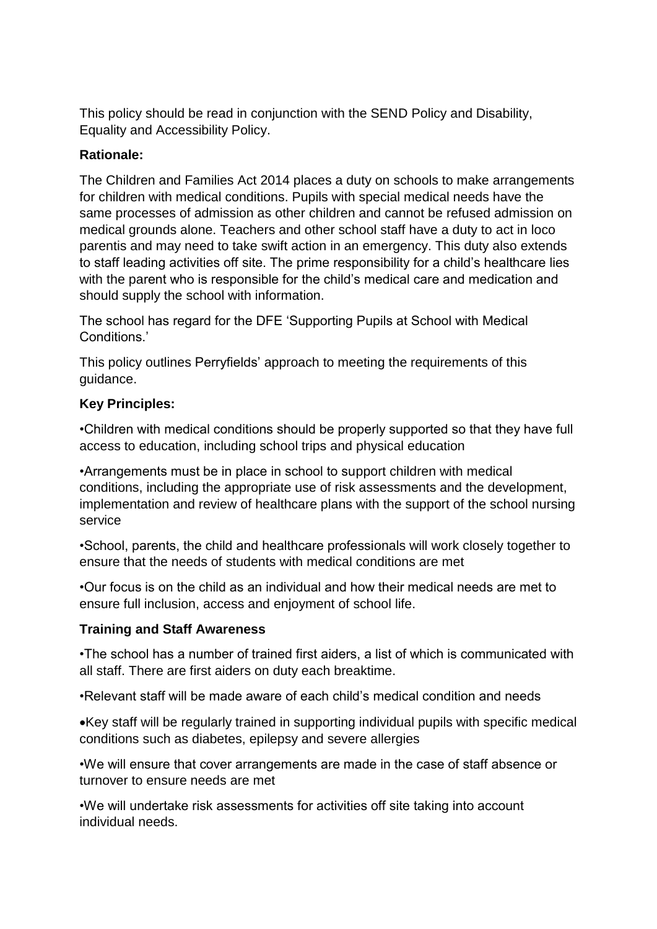This policy should be read in conjunction with the SEND Policy and Disability, Equality and Accessibility Policy.

#### **Rationale:**

The Children and Families Act 2014 places a duty on schools to make arrangements for children with medical conditions. Pupils with special medical needs have the same processes of admission as other children and cannot be refused admission on medical grounds alone. Teachers and other school staff have a duty to act in loco parentis and may need to take swift action in an emergency. This duty also extends to staff leading activities off site. The prime responsibility for a child's healthcare lies with the parent who is responsible for the child's medical care and medication and should supply the school with information.

The school has regard for the DFE 'Supporting Pupils at School with Medical Conditions.'

This policy outlines Perryfields' approach to meeting the requirements of this guidance.

#### **Key Principles:**

•Children with medical conditions should be properly supported so that they have full access to education, including school trips and physical education

•Arrangements must be in place in school to support children with medical conditions, including the appropriate use of risk assessments and the development, implementation and review of healthcare plans with the support of the school nursing service

•School, parents, the child and healthcare professionals will work closely together to ensure that the needs of students with medical conditions are met

•Our focus is on the child as an individual and how their medical needs are met to ensure full inclusion, access and enjoyment of school life.

#### **Training and Staff Awareness**

•The school has a number of trained first aiders, a list of which is communicated with all staff. There are first aiders on duty each breaktime.

•Relevant staff will be made aware of each child's medical condition and needs

Key staff will be regularly trained in supporting individual pupils with specific medical conditions such as diabetes, epilepsy and severe allergies

•We will ensure that cover arrangements are made in the case of staff absence or turnover to ensure needs are met

•We will undertake risk assessments for activities off site taking into account individual needs.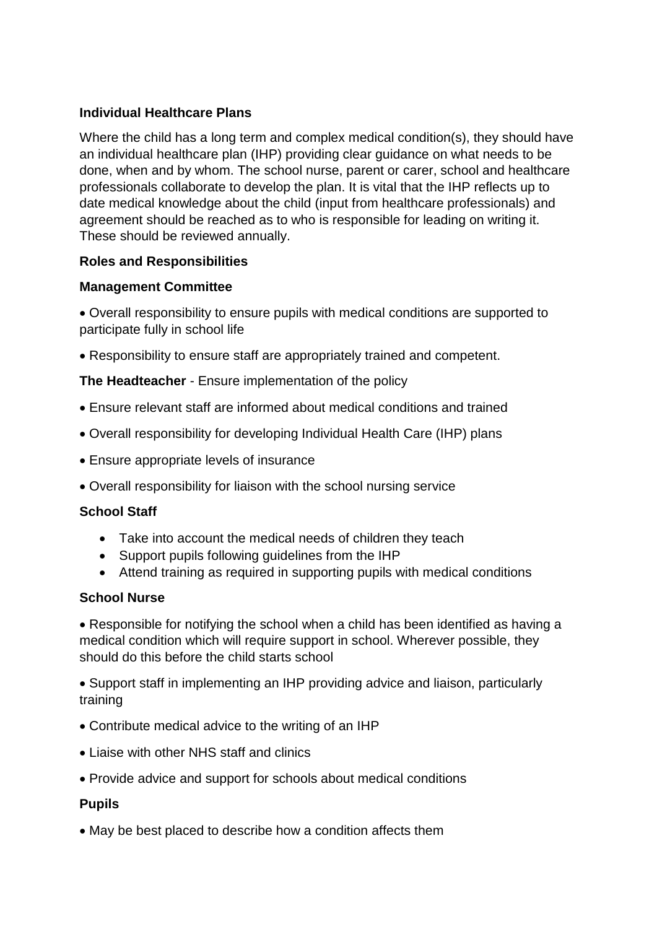# **Individual Healthcare Plans**

Where the child has a long term and complex medical condition(s), they should have an individual healthcare plan (IHP) providing clear guidance on what needs to be done, when and by whom. The school nurse, parent or carer, school and healthcare professionals collaborate to develop the plan. It is vital that the IHP reflects up to date medical knowledge about the child (input from healthcare professionals) and agreement should be reached as to who is responsible for leading on writing it. These should be reviewed annually.

# **Roles and Responsibilities**

# **Management Committee**

 Overall responsibility to ensure pupils with medical conditions are supported to participate fully in school life

Responsibility to ensure staff are appropriately trained and competent.

**The Headteacher** - Ensure implementation of the policy

- Ensure relevant staff are informed about medical conditions and trained
- Overall responsibility for developing Individual Health Care (IHP) plans
- Ensure appropriate levels of insurance
- Overall responsibility for liaison with the school nursing service

# **School Staff**

- Take into account the medical needs of children they teach
- Support pupils following guidelines from the IHP
- Attend training as required in supporting pupils with medical conditions

# **School Nurse**

 Responsible for notifying the school when a child has been identified as having a medical condition which will require support in school. Wherever possible, they should do this before the child starts school

 Support staff in implementing an IHP providing advice and liaison, particularly training

- Contribute medical advice to the writing of an IHP
- Liaise with other NHS staff and clinics
- Provide advice and support for schools about medical conditions

# **Pupils**

May be best placed to describe how a condition affects them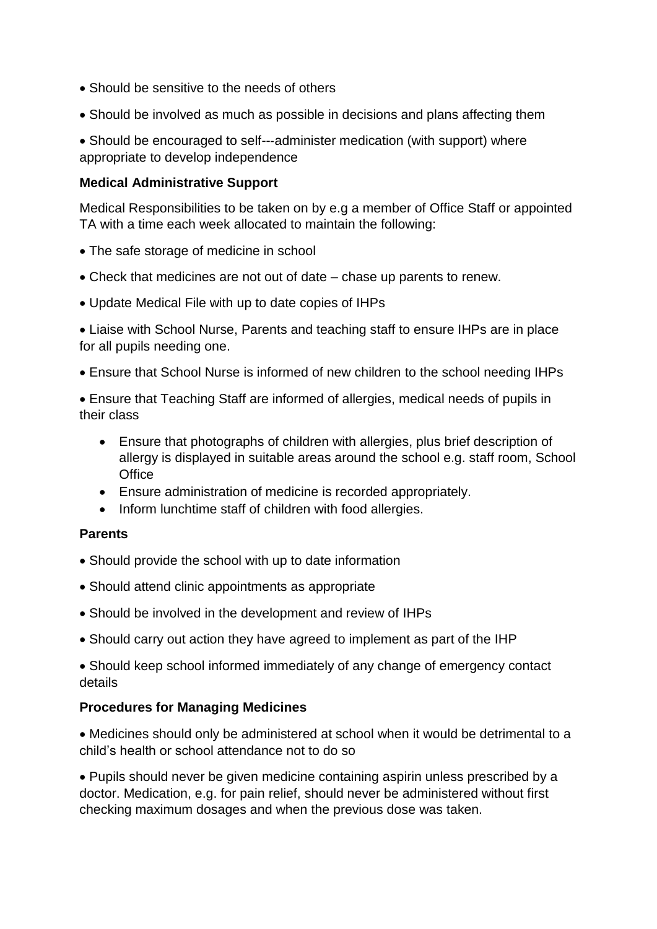- Should be sensitive to the needs of others
- Should be involved as much as possible in decisions and plans affecting them

■ Should be encouraged to self---administer medication (with support) where appropriate to develop independence

#### **Medical Administrative Support**

Medical Responsibilities to be taken on by e.g a member of Office Staff or appointed TA with a time each week allocated to maintain the following:

- The safe storage of medicine in school
- Check that medicines are not out of date chase up parents to renew.
- Update Medical File with up to date copies of IHPs

 Liaise with School Nurse, Parents and teaching staff to ensure IHPs are in place for all pupils needing one.

Ensure that School Nurse is informed of new children to the school needing IHPs

 Ensure that Teaching Staff are informed of allergies, medical needs of pupils in their class

- Ensure that photographs of children with allergies, plus brief description of allergy is displayed in suitable areas around the school e.g. staff room, School **Office**
- Ensure administration of medicine is recorded appropriately.
- Inform lunchtime staff of children with food allergies.

#### **Parents**

- Should provide the school with up to date information
- Should attend clinic appointments as appropriate
- Should be involved in the development and review of IHPs
- Should carry out action they have agreed to implement as part of the IHP

 Should keep school informed immediately of any change of emergency contact details

# **Procedures for Managing Medicines**

 Medicines should only be administered at school when it would be detrimental to a child's health or school attendance not to do so

 Pupils should never be given medicine containing aspirin unless prescribed by a doctor. Medication, e.g. for pain relief, should never be administered without first checking maximum dosages and when the previous dose was taken.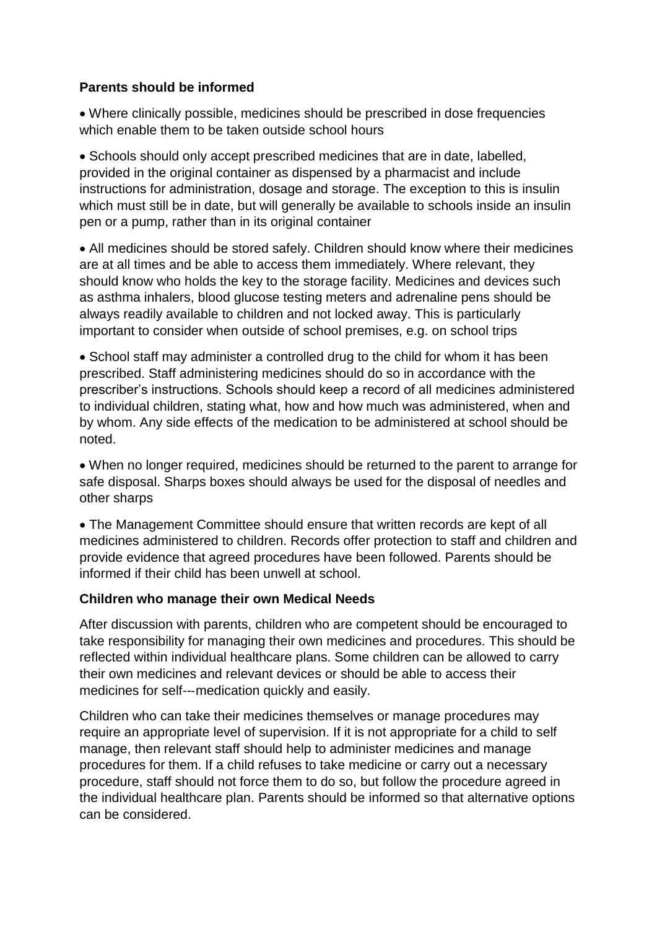#### **Parents should be informed**

 Where clinically possible, medicines should be prescribed in dose frequencies which enable them to be taken outside school hours

• Schools should only accept prescribed medicines that are in date, labelled, provided in the original container as dispensed by a pharmacist and include instructions for administration, dosage and storage. The exception to this is insulin which must still be in date, but will generally be available to schools inside an insulin pen or a pump, rather than in its original container

 All medicines should be stored safely. Children should know where their medicines are at all times and be able to access them immediately. Where relevant, they should know who holds the key to the storage facility. Medicines and devices such as asthma inhalers, blood glucose testing meters and adrenaline pens should be always readily available to children and not locked away. This is particularly important to consider when outside of school premises, e.g. on school trips

• School staff may administer a controlled drug to the child for whom it has been prescribed. Staff administering medicines should do so in accordance with the prescriber's instructions. Schools should keep a record of all medicines administered to individual children, stating what, how and how much was administered, when and by whom. Any side effects of the medication to be administered at school should be noted.

 When no longer required, medicines should be returned to the parent to arrange for safe disposal. Sharps boxes should always be used for the disposal of needles and other sharps

 The Management Committee should ensure that written records are kept of all medicines administered to children. Records offer protection to staff and children and provide evidence that agreed procedures have been followed. Parents should be informed if their child has been unwell at school.

#### **Children who manage their own Medical Needs**

After discussion with parents, children who are competent should be encouraged to take responsibility for managing their own medicines and procedures. This should be reflected within individual healthcare plans. Some children can be allowed to carry their own medicines and relevant devices or should be able to access their medicines for self--‐medication quickly and easily.

Children who can take their medicines themselves or manage procedures may require an appropriate level of supervision. If it is not appropriate for a child to self manage, then relevant staff should help to administer medicines and manage procedures for them. If a child refuses to take medicine or carry out a necessary procedure, staff should not force them to do so, but follow the procedure agreed in the individual healthcare plan. Parents should be informed so that alternative options can be considered.